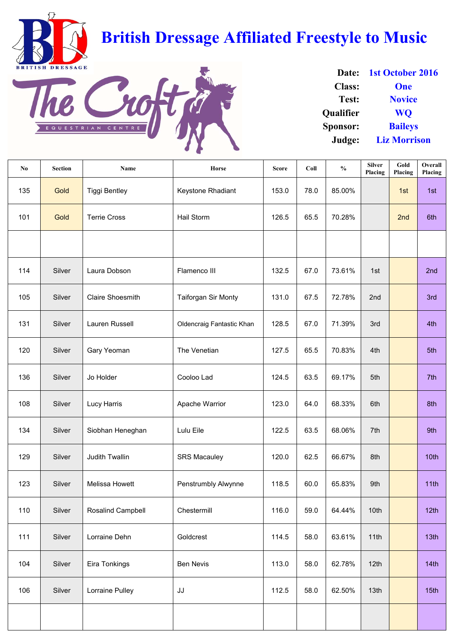| N <sub>0</sub> | <b>Section</b> | <b>Name</b>              | <b>Horse</b>                     | <b>Score</b> | Coll | $\frac{0}{0}$ | <b>Silver</b><br>Placing | Gold<br>Placing | Overall<br><b>Placing</b> |
|----------------|----------------|--------------------------|----------------------------------|--------------|------|---------------|--------------------------|-----------------|---------------------------|
| 135            | Gold           | <b>Tiggi Bentley</b>     | Keystone Rhadiant                | 153.0        | 78.0 | 85.00%        |                          | 1st             | 1st                       |
| 101            | Gold           | <b>Terrie Cross</b>      | Hail Storm                       | 126.5        | 65.5 | 70.28%        |                          | 2nd             | 6th                       |
|                |                |                          |                                  |              |      |               |                          |                 |                           |
| 114            | Silver         | Laura Dobson             | Flamenco III                     | 132.5        | 67.0 | 73.61%        | 1st                      |                 | 2nd                       |
| 105            | Silver         | <b>Claire Shoesmith</b>  | <b>Taiforgan Sir Monty</b>       | 131.0        | 67.5 | 72.78%        | 2nd                      |                 | 3rd                       |
| 131            | Silver         | <b>Lauren Russell</b>    | <b>Oldencraig Fantastic Khan</b> | 128.5        | 67.0 | 71.39%        | 3rd                      |                 | 4th                       |
| 120            | Silver         | <b>Gary Yeoman</b>       | The Venetian                     | 127.5        | 65.5 | 70.83%        | 4th                      |                 | 5th                       |
| 136            | Silver         | Jo Holder                | Cooloo Lad                       | 124.5        | 63.5 | 69.17%        | 5th                      |                 | 7th                       |
| 108            | Silver         | <b>Lucy Harris</b>       | Apache Warrior                   | 123.0        | 64.0 | 68.33%        | 6th                      |                 | 8th                       |
| 134            | Silver         | Siobhan Heneghan         | Lulu Eile                        | 122.5        | 63.5 | 68.06%        | 7th                      |                 | 9th                       |
| 129            | Silver         | <b>Judith Twallin</b>    | <b>SRS Macauley</b>              | 120.0        | 62.5 | 66.67%        | 8th                      |                 | 10th                      |
| 123            | Silver         | <b>Melissa Howett</b>    | <b>Penstrumbly Alwynne</b>       | 118.5        | 60.0 | 65.83%        | 9th                      |                 | 11th                      |
| 110            | Silver         | <b>Rosalind Campbell</b> | Chestermill                      | 116.0        | 59.0 | 64.44%        | 10th                     |                 | 12th                      |
| 111            | Silver         | Lorraine Dehn            | Goldcrest                        | 114.5        | 58.0 | 63.61%        | 11th                     |                 | 13 <sub>th</sub>          |
| 104            | Silver         | Eira Tonkings            | <b>Ben Nevis</b>                 | 113.0        | 58.0 | 62.78%        | 12th                     |                 | 14th                      |
| 106            | Silver         | Lorraine Pulley          | JJ                               | 112.5        | 58.0 | 62.50%        | 13 <sub>th</sub>         |                 | 15 <sub>th</sub>          |
|                |                |                          |                                  |              |      |               |                          |                 |                           |

| Date:            | 1st October 2016    |
|------------------|---------------------|
| <b>Class:</b>    | <b>One</b>          |
| <b>Test:</b>     | <b>Novice</b>       |
| <b>Oualifier</b> | <b>WO</b>           |
| <b>Sponsor:</b>  | <b>Baileys</b>      |
| Judge:           | <b>Liz Morrison</b> |

BRITISH DRESSAGE

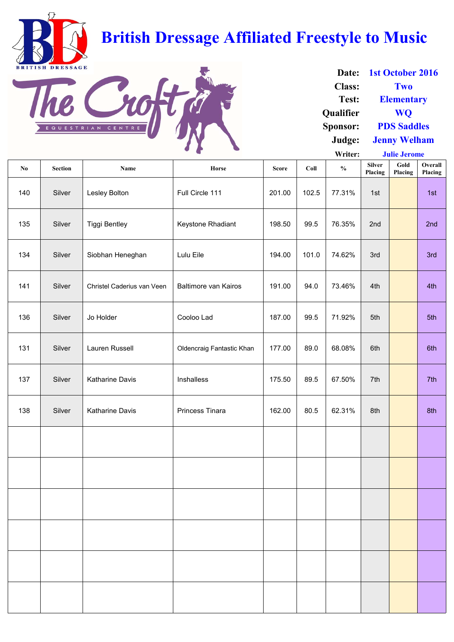**Writer: No Section Name Horse Score Coll % Silver Placing Gold Placing Overall Placing** 140 | Silver | Lesley Bolton | Full Circle 111 | 201.00 | 102.5 | 77.31% | 1st | | | 1st 135 | Silver | Tiggi Bentley | Keystone Rhadiant | 198.50 | 99.5 | 76.35% | 2nd | | | 2nd 134 | Silver | Siobhan Heneghan | Lulu Eile | 194.00 | 101.0 | 74.62% | 3rd | | | 3rd 141 | Silver | Christel Caderius van Veen | Baltimore van Kairos | 191.00 | 94.0 | 73.46% | 4th | | | | | 4th 136 | Silver | Jo Holder | Cooloo Lad | 187.00 | 99.5 | 71.92% | 5th | | | 5th 131 | Silver | Lauren Russell | Oldencraig Fantastic Khan | 177.00 | 89.0 | 68.08% | 6th | | | | | 6th 137 | Silver | Katharine Davis | Inshalless | 175.50 | 89.5 | 67.50% | 7th | 7th 138 | Silver | Katharine Davis | Princess Tinara | 162.00 | 80.5 | 62.31% 8th | 8th 8th **Julie Jerome**

| Date:           | 1st October 2016    |
|-----------------|---------------------|
| <b>Class:</b>   | Two                 |
| Test:           | <b>Elementary</b>   |
| Qualifier       | <b>WO</b>           |
| <b>Sponsor:</b> | <b>PDS Saddles</b>  |
| Judge:          | <b>Jenny Welham</b> |



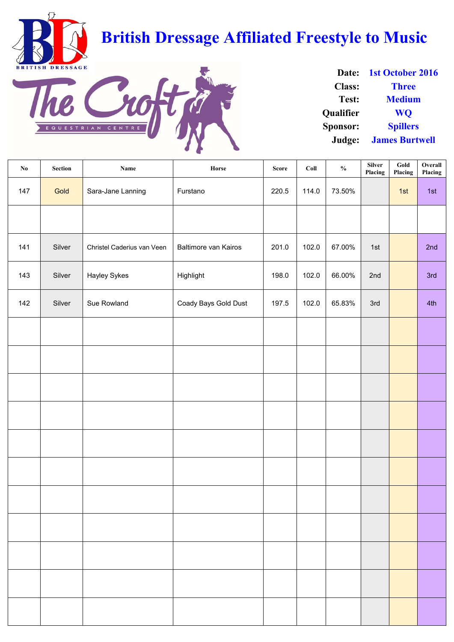| $\mathbf{N}\mathbf{0}$ | <b>Section</b> | <b>Name</b>                | Horse                       | <b>Score</b> | Coll  | $\frac{0}{0}$ | <b>Silver</b><br>Placing | Gold<br>Placing | Overall<br>Placing |
|------------------------|----------------|----------------------------|-----------------------------|--------------|-------|---------------|--------------------------|-----------------|--------------------|
| 147                    | Gold           | Sara-Jane Lanning          | Furstano                    | 220.5        | 114.0 | 73.50%        |                          | 1st             | 1st                |
|                        |                |                            |                             |              |       |               |                          |                 |                    |
| 141                    | Silver         | Christel Caderius van Veen | <b>Baltimore van Kairos</b> | 201.0        | 102.0 | 67.00%        | 1st                      |                 | 2nd                |
| 143                    | Silver         | <b>Hayley Sykes</b>        | Highlight                   | 198.0        | 102.0 | 66.00%        | 2nd                      |                 | 3rd                |
| 142                    | Silver         | Sue Rowland                | Coady Bays Gold Dust        | 197.5        | 102.0 | 65.83%        | 3rd                      |                 | 4th                |
|                        |                |                            |                             |              |       |               |                          |                 |                    |
|                        |                |                            |                             |              |       |               |                          |                 |                    |
|                        |                |                            |                             |              |       |               |                          |                 |                    |
|                        |                |                            |                             |              |       |               |                          |                 |                    |
|                        |                |                            |                             |              |       |               |                          |                 |                    |
|                        |                |                            |                             |              |       |               |                          |                 |                    |

| Date:            | <b>1st October 2016</b> |
|------------------|-------------------------|
| <b>Class:</b>    | <b>Three</b>            |
| Test:            | <b>Medium</b>           |
| <b>Qualifier</b> | <b>WO</b>               |
| <b>Sponsor:</b>  | <b>Spillers</b>         |
| Judge:           | <b>James Burtwell</b>   |

BRITISH DRESSAGE